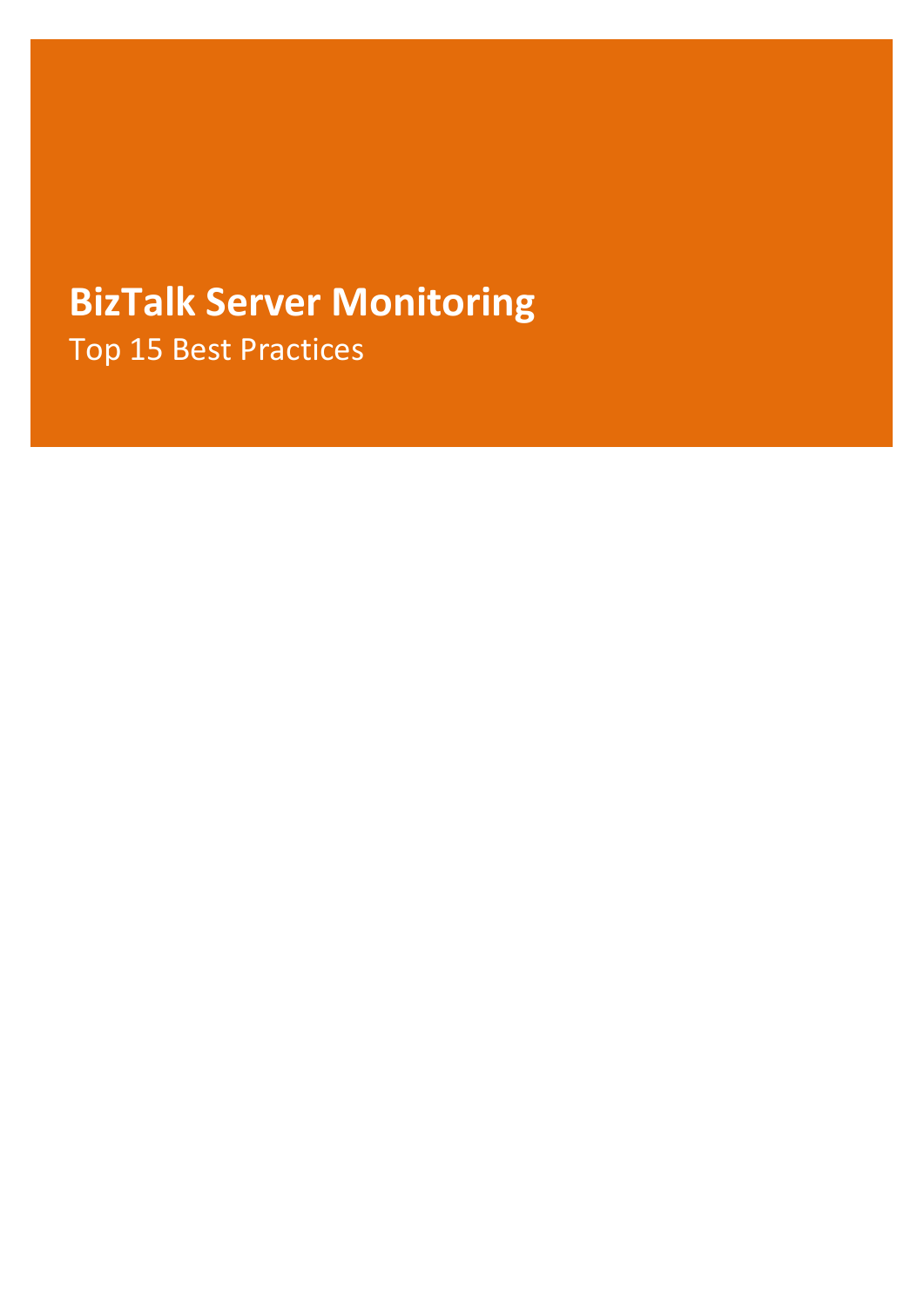# **BizTalk Server Monitoring** Top 15 Best Practices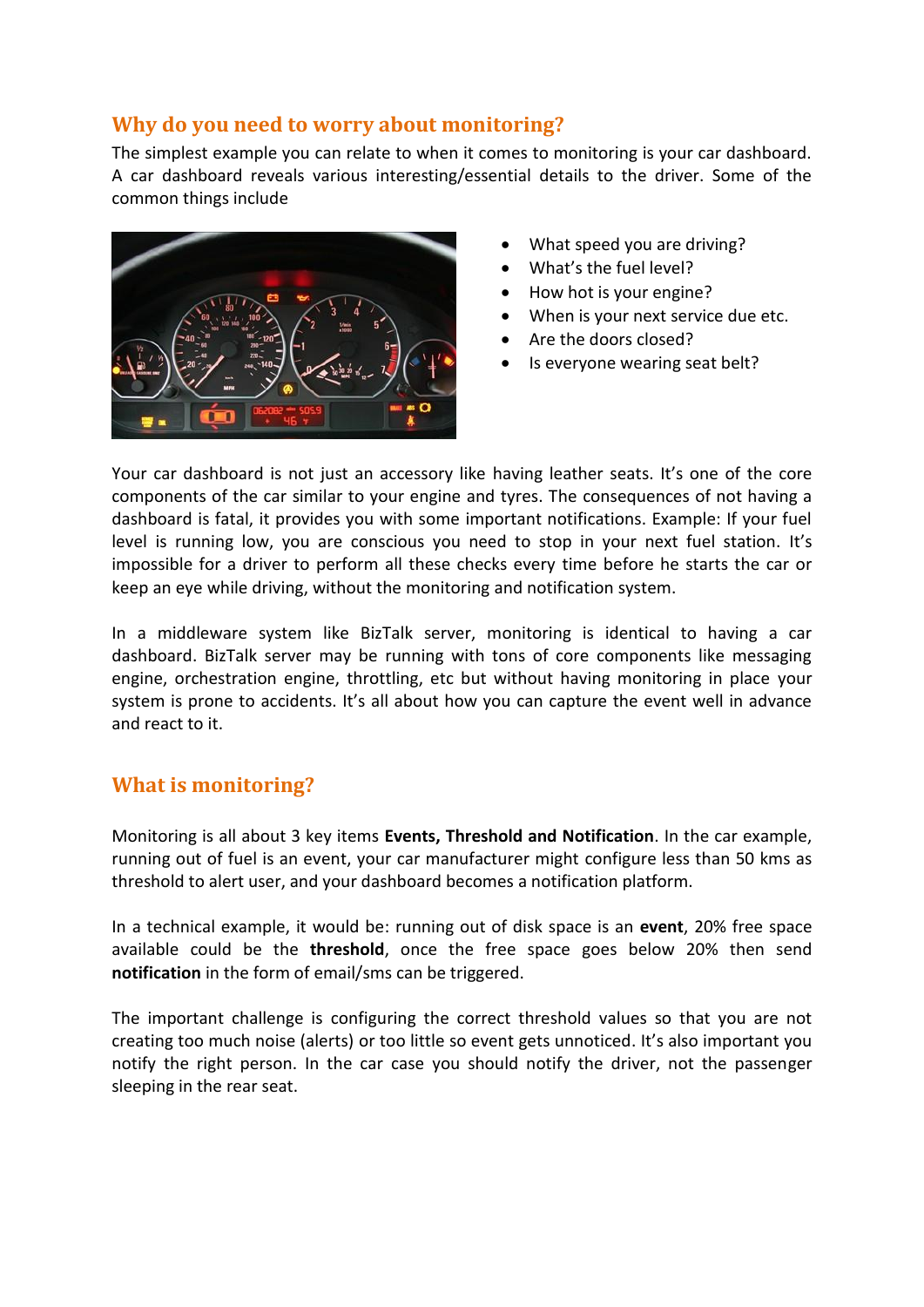# **Why do you need to worry about monitoring?**

The simplest example you can relate to when it comes to monitoring is your car dashboard. A car dashboard reveals various interesting/essential details to the driver. Some of the common things include



- What speed you are driving?
- What's the fuel level?
- How hot is your engine?
- When is your next service due etc.
- Are the doors closed?
- Is everyone wearing seat belt?

Your car dashboard is not just an accessory like having leather seats. It's one of the core components of the car similar to your engine and tyres. The consequences of not having a dashboard is fatal, it provides you with some important notifications. Example: If your fuel level is running low, you are conscious you need to stop in your next fuel station. It's impossible for a driver to perform all these checks every time before he starts the car or keep an eye while driving, without the monitoring and notification system.

In a middleware system like BizTalk server, monitoring is identical to having a car dashboard. BizTalk server may be running with tons of core components like messaging engine, orchestration engine, throttling, etc but without having monitoring in place your system is prone to accidents. It's all about how you can capture the event well in advance and react to it.

# **What is monitoring?**

Monitoring is all about 3 key items **Events, Threshold and Notification**. In the car example, running out of fuel is an event, your car manufacturer might configure less than 50 kms as threshold to alert user, and your dashboard becomes a notification platform.

In a technical example, it would be: running out of disk space is an **event**, 20% free space available could be the **threshold**, once the free space goes below 20% then send **notification** in the form of email/sms can be triggered.

The important challenge is configuring the correct threshold values so that you are not creating too much noise (alerts) or too little so event gets unnoticed. It's also important you notify the right person. In the car case you should notify the driver, not the passenger sleeping in the rear seat.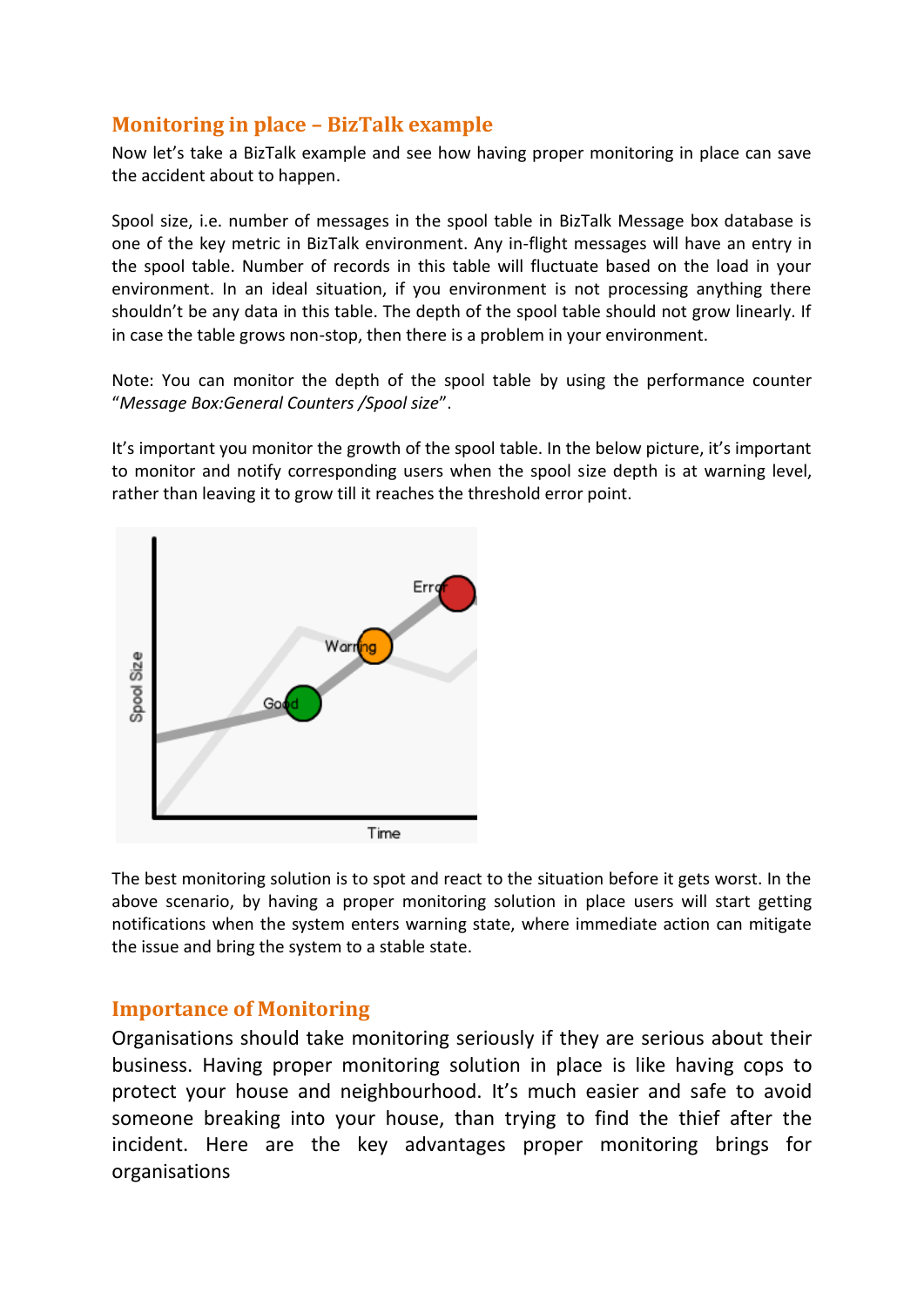# **Monitoring in place – BizTalk example**

Now let's take a BizTalk example and see how having proper monitoring in place can save the accident about to happen.

Spool size, i.e. number of messages in the spool table in BizTalk Message box database is one of the key metric in BizTalk environment. Any in-flight messages will have an entry in the spool table. Number of records in this table will fluctuate based on the load in your environment. In an ideal situation, if you environment is not processing anything there shouldn't be any data in this table. The depth of the spool table should not grow linearly. If in case the table grows non-stop, then there is a problem in your environment.

Note: You can monitor the depth of the spool table by using the performance counter "*Message Box:General Counters /Spool size*".

It's important you monitor the growth of the spool table. In the below picture, it's important to monitor and notify corresponding users when the spool size depth is at warning level, rather than leaving it to grow till it reaches the threshold error point.



The best monitoring solution is to spot and react to the situation before it gets worst. In the above scenario, by having a proper monitoring solution in place users will start getting notifications when the system enters warning state, where immediate action can mitigate the issue and bring the system to a stable state.

# **Importance of Monitoring**

Organisations should take monitoring seriously if they are serious about their business. Having proper monitoring solution in place is like having cops to protect your house and neighbourhood. It's much easier and safe to avoid someone breaking into your house, than trying to find the thief after the incident. Here are the key advantages proper monitoring brings for organisations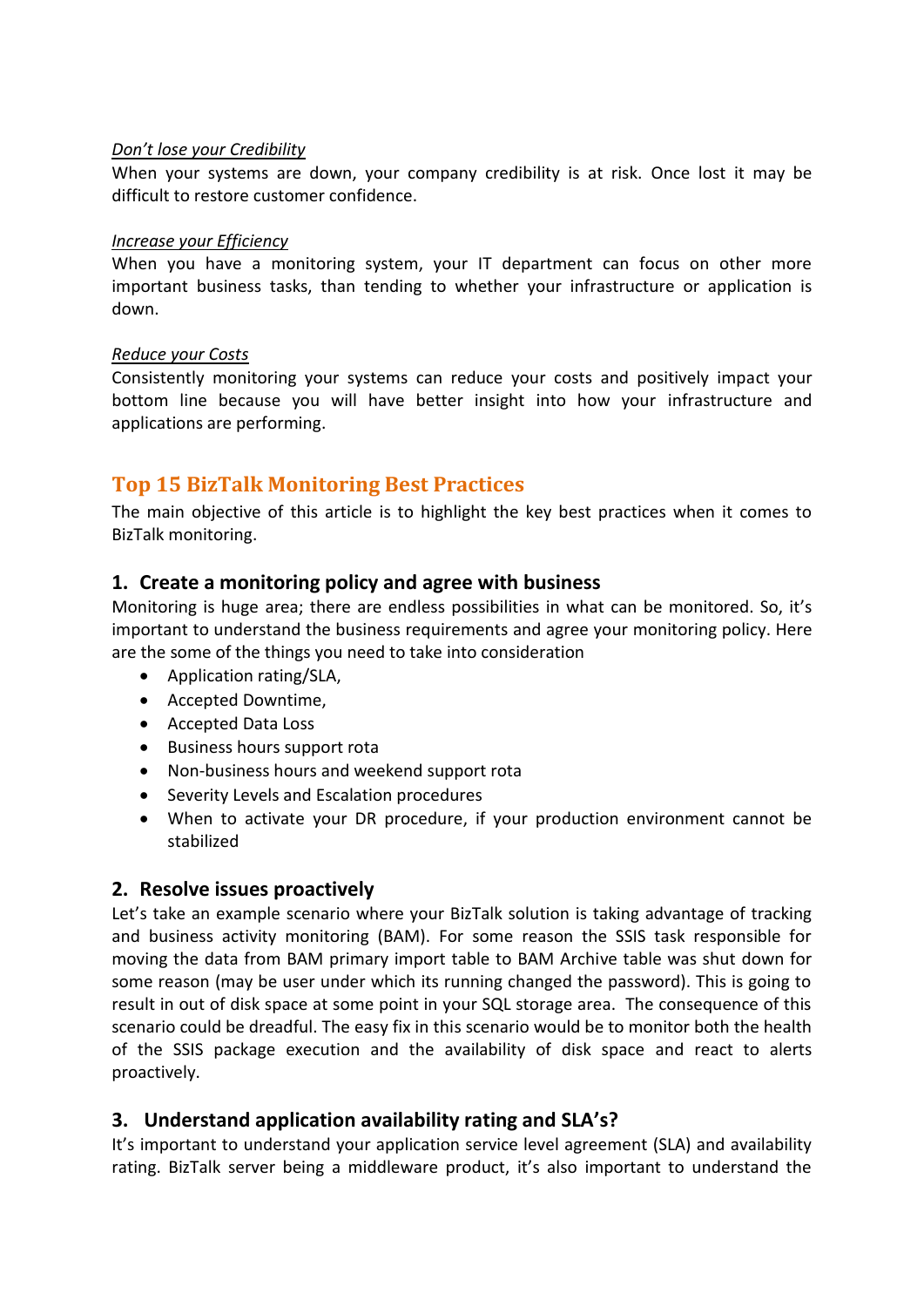#### *Don't lose your Credibility*

When your systems are down, your company credibility is at risk. Once lost it may be difficult to restore customer confidence.

#### *Increase your Efficiency*

When you have a monitoring system, your IT department can focus on other more important business tasks, than tending to whether your infrastructure or application is down.

#### *Reduce your Costs*

Consistently monitoring your systems can reduce your costs and positively impact your bottom line because you will have better insight into how your infrastructure and applications are performing.

# **Top 15 BizTalk Monitoring Best Practices**

The main objective of this article is to highlight the key best practices when it comes to BizTalk monitoring.

#### **1. Create a monitoring policy and agree with business**

Monitoring is huge area; there are endless possibilities in what can be monitored. So, it's important to understand the business requirements and agree your monitoring policy. Here are the some of the things you need to take into consideration

- Application rating/SLA,
- Accepted Downtime,
- Accepted Data Loss
- Business hours support rota
- Non-business hours and weekend support rota
- Severity Levels and Escalation procedures
- When to activate your DR procedure, if your production environment cannot be stabilized

#### **2. Resolve issues proactively**

Let's take an example scenario where your BizTalk solution is taking advantage of tracking and business activity monitoring (BAM). For some reason the SSIS task responsible for moving the data from BAM primary import table to BAM Archive table was shut down for some reason (may be user under which its running changed the password). This is going to result in out of disk space at some point in your SQL storage area. The consequence of this scenario could be dreadful. The easy fix in this scenario would be to monitor both the health of the SSIS package execution and the availability of disk space and react to alerts proactively.

## **3. Understand application availability rating and SLA's?**

It's important to understand your application service level agreement (SLA) and availability rating. BizTalk server being a middleware product, it's also important to understand the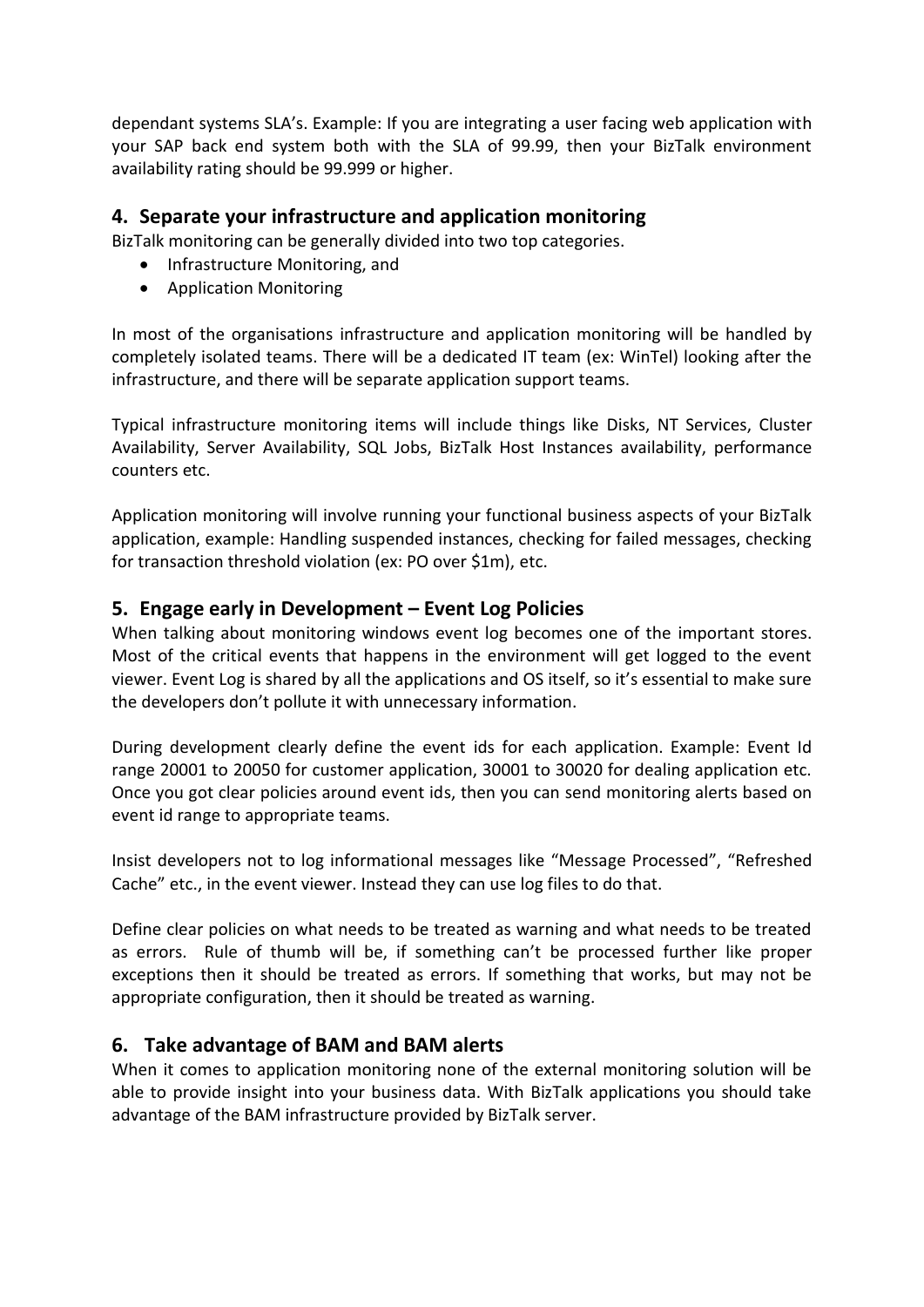dependant systems SLA's. Example: If you are integrating a user facing web application with your SAP back end system both with the SLA of 99.99, then your BizTalk environment availability rating should be 99.999 or higher.

#### **4. Separate your infrastructure and application monitoring**

BizTalk monitoring can be generally divided into two top categories.

- Infrastructure Monitoring, and
- Application Monitoring

In most of the organisations infrastructure and application monitoring will be handled by completely isolated teams. There will be a dedicated IT team (ex: WinTel) looking after the infrastructure, and there will be separate application support teams.

Typical infrastructure monitoring items will include things like Disks, NT Services, Cluster Availability, Server Availability, SQL Jobs, BizTalk Host Instances availability, performance counters etc.

Application monitoring will involve running your functional business aspects of your BizTalk application, example: Handling suspended instances, checking for failed messages, checking for transaction threshold violation (ex: PO over \$1m), etc.

# **5. Engage early in Development – Event Log Policies**

When talking about monitoring windows event log becomes one of the important stores. Most of the critical events that happens in the environment will get logged to the event viewer. Event Log is shared by all the applications and OS itself, so it's essential to make sure the developers don't pollute it with unnecessary information.

During development clearly define the event ids for each application. Example: Event Id range 20001 to 20050 for customer application, 30001 to 30020 for dealing application etc. Once you got clear policies around event ids, then you can send monitoring alerts based on event id range to appropriate teams.

Insist developers not to log informational messages like "Message Processed", "Refreshed Cache" etc., in the event viewer. Instead they can use log files to do that.

Define clear policies on what needs to be treated as warning and what needs to be treated as errors. Rule of thumb will be, if something can't be processed further like proper exceptions then it should be treated as errors. If something that works, but may not be appropriate configuration, then it should be treated as warning.

## **6. Take advantage of BAM and BAM alerts**

When it comes to application monitoring none of the external monitoring solution will be able to provide insight into your business data. With BizTalk applications you should take advantage of the BAM infrastructure provided by BizTalk server.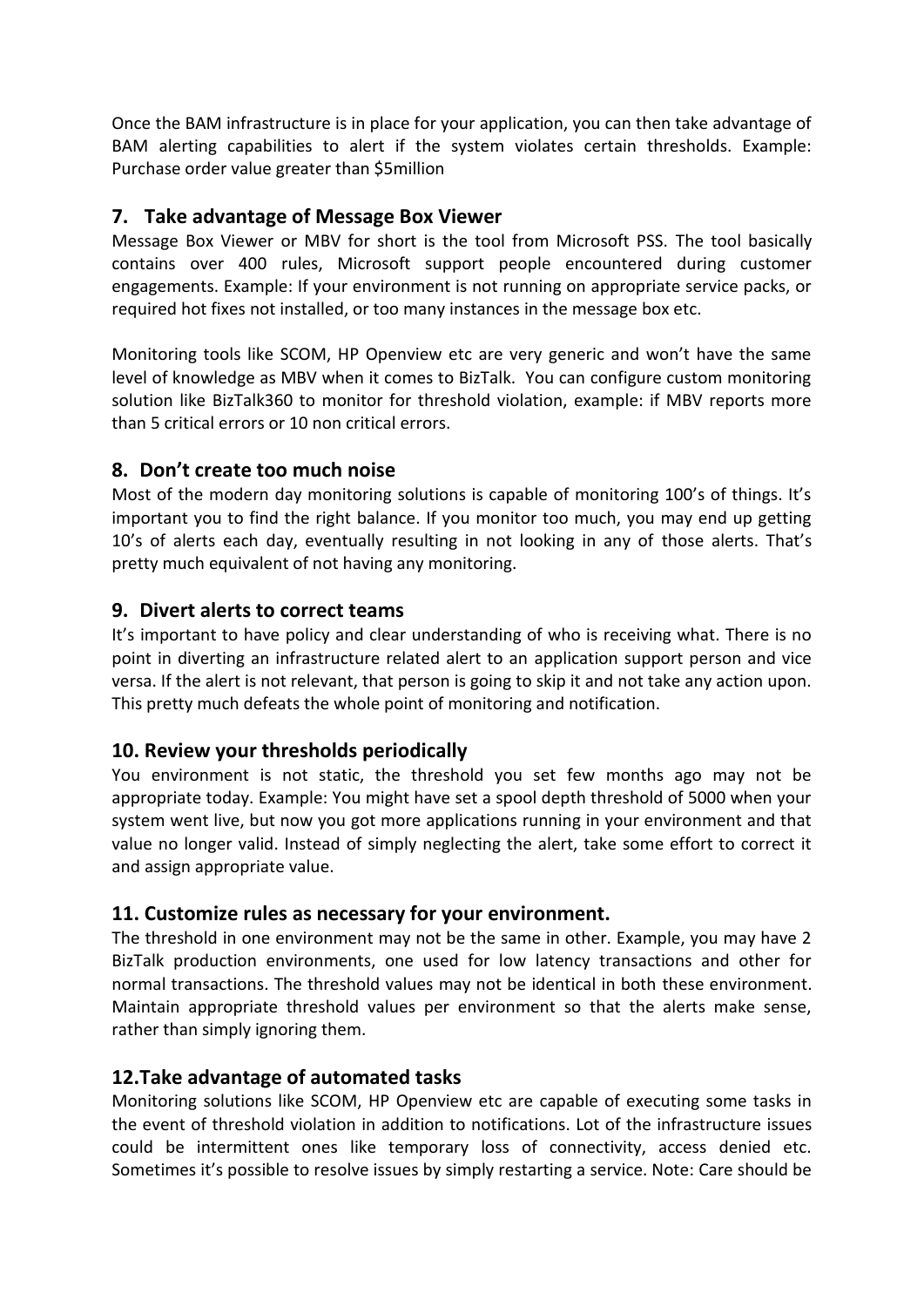Once the BAM infrastructure is in place for your application, you can then take advantage of BAM alerting capabilities to alert if the system violates certain thresholds. Example: Purchase order value greater than \$5million

## **7. Take advantage of Message Box Viewer**

Message Box Viewer or MBV for short is the tool from Microsoft PSS. The tool basically contains over 400 rules, Microsoft support people encountered during customer engagements. Example: If your environment is not running on appropriate service packs, or required hot fixes not installed, or too many instances in the message box etc.

Monitoring tools like SCOM, HP Openview etc are very generic and won't have the same level of knowledge as MBV when it comes to BizTalk. You can configure custom monitoring solution like BizTalk360 to monitor for threshold violation, example: if MBV reports more than 5 critical errors or 10 non critical errors.

# **8. Don't create too much noise**

Most of the modern day monitoring solutions is capable of monitoring 100's of things. It's important you to find the right balance. If you monitor too much, you may end up getting 10's of alerts each day, eventually resulting in not looking in any of those alerts. That's pretty much equivalent of not having any monitoring.

# **9. Divert alerts to correct teams**

It's important to have policy and clear understanding of who is receiving what. There is no point in diverting an infrastructure related alert to an application support person and vice versa. If the alert is not relevant, that person is going to skip it and not take any action upon. This pretty much defeats the whole point of monitoring and notification.

## **10. Review your thresholds periodically**

You environment is not static, the threshold you set few months ago may not be appropriate today. Example: You might have set a spool depth threshold of 5000 when your system went live, but now you got more applications running in your environment and that value no longer valid. Instead of simply neglecting the alert, take some effort to correct it and assign appropriate value.

## **11. Customize rules as necessary for your environment.**

The threshold in one environment may not be the same in other. Example, you may have 2 BizTalk production environments, one used for low latency transactions and other for normal transactions. The threshold values may not be identical in both these environment. Maintain appropriate threshold values per environment so that the alerts make sense, rather than simply ignoring them.

## **12.Take advantage of automated tasks**

Monitoring solutions like SCOM, HP Openview etc are capable of executing some tasks in the event of threshold violation in addition to notifications. Lot of the infrastructure issues could be intermittent ones like temporary loss of connectivity, access denied etc. Sometimes it's possible to resolve issues by simply restarting a service. Note: Care should be